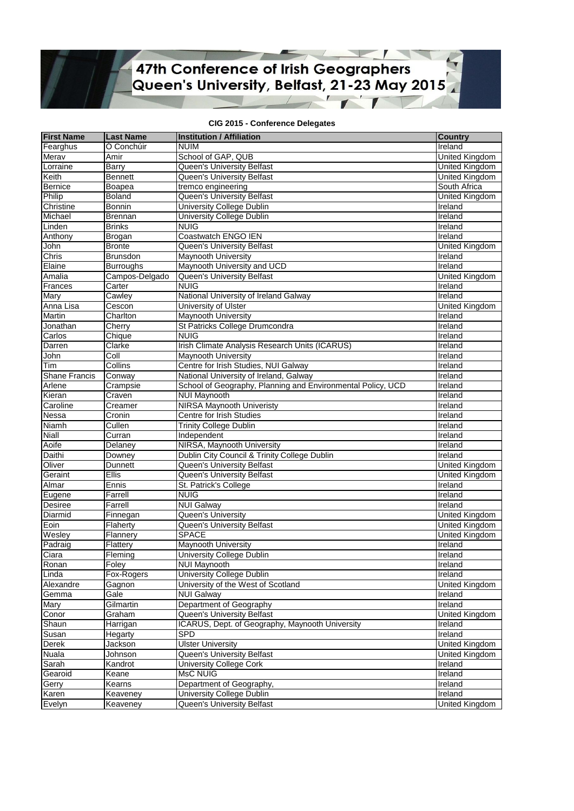## 47th Conference of Irish Geographers<br>Queen's University, Belfast, 21-23 May 2015  $\overline{\phantom{a}}$

## **CIG 2015 - Conference Delegates**

| <b>First Name</b>    | <b>Last Name</b> | <b>Institution / Affiliation</b>                            | <b>Country</b>        |
|----------------------|------------------|-------------------------------------------------------------|-----------------------|
| Fearghus             | Ó Conchúir       | <b>NUIM</b>                                                 | Ireland               |
| Merav                | Amir             | School of GAP, QUB                                          | United Kingdom        |
| Lorraine             | Barry            | Queen's University Belfast                                  | United Kingdom        |
| Keith                | <b>Bennett</b>   | Queen's University Belfast                                  | United Kingdom        |
| <b>Bernice</b>       | Boapea           | tremco engineering                                          | South Africa          |
| Philip               | Boland           | <b>Queen's University Belfast</b>                           | United Kingdom        |
| Christine            | Bonnin           | <b>University College Dublin</b>                            | Ireland               |
| Michael              | Brennan          | University College Dublin                                   | Ireland               |
| Linden               | <b>Brinks</b>    | <b>NUIG</b>                                                 | Ireland               |
| Anthony              | Brogan           | Coastwatch ENGO IEN                                         | Ireland               |
| John                 | <b>Bronte</b>    | Queen's University Belfast                                  | <b>United Kingdom</b> |
| Chris                | <b>Brunsdon</b>  | <b>Maynooth University</b>                                  | Ireland               |
| Elaine               | <b>Burroughs</b> | Maynooth University and UCD                                 | Ireland               |
| Amalia               | Campos-Delgado   | Queen's University Belfast                                  | <b>United Kingdom</b> |
| Frances              | Carter           | <b>NUIG</b>                                                 | Ireland               |
| Mary                 | Cawley           | National University of Ireland Galway                       | Ireland               |
| Anna Lisa            | Cescon           | University of Ulster                                        | United Kingdom        |
| Martin               | Charlton         | <b>Maynooth University</b>                                  | <b>Treland</b>        |
| Jonathan             | Cherry           | St Patricks College Drumcondra                              | Ireland               |
| Carlos               | Chique           | <b>NUIG</b>                                                 | Ireland               |
| Darren               | Clarke           | Irish Climate Analysis Research Units (ICARUS)              | Ireland               |
| John                 | Coll             | <b>Maynooth University</b>                                  | Ireland               |
| Tim                  | Collins          | Centre for Irish Studies, NUI Galway                        | Ireland               |
| <b>Shane Francis</b> | Conway           | National University of Ireland, Galway                      | Ireland               |
| Arlene               | Crampsie         | School of Geography, Planning and Environmental Policy, UCD | Ireland               |
| Kieran               | Craven           | <b>NUI Maynooth</b>                                         | Ireland               |
| Caroline             | Creamer          | <b>NIRSA Maynooth Univeristy</b>                            | Ireland               |
| Nessa                | Cronin           | Centre for Irish Studies                                    | Ireland               |
| <b>Niamh</b>         | Cullen           | <b>Trinity College Dublin</b>                               | Ireland               |
| Niall                | Curran           | Independent                                                 | Ireland               |
| Aoife                | Delaney          | NIRSA, Maynooth University                                  | Treland               |
| Daithi               | Downey           | Dublin City Council & Trinity College Dublin                | <b>Ireland</b>        |
| Oliver               | Dunnett          | Queen's University Belfast                                  | United Kingdom        |
| Geraint              | <b>Ellis</b>     | Queen's University Belfast                                  | United Kingdom        |
| Almar                | Ennis            | St. Patrick's College                                       | Ireland               |
| Eugene               | Farrell          | <b>NUIG</b>                                                 | Treland               |
| Desiree              | Farrell          | <b>NUI Galway</b>                                           | Ireland               |
| Diarmid              | Finnegan         | Queen's University                                          | <b>United Kingdom</b> |
| Eoin                 | Flaherty         | Queen's University Belfast                                  | United Kingdom        |
| Wesley               | Flannery         | <b>SPACE</b>                                                | United Kingdom        |
| Padraig              | Flattery         | Maynooth University                                         | <b>Treland</b>        |
| Ciara                | Fleming          | University College Dublin                                   | Ireland               |
| Ronan                | Foley            | <b>NUI Maynooth</b>                                         | Ireland               |
| Linda                | Fox-Rogers       | University College Dublin                                   | Ireland               |
| Alexandre            | Gagnon           | University of the West of Scotland                          | United Kingdom        |
| Gemma                | Gale             | <b>NUI Galway</b>                                           | Ireland               |
| Mary                 | Gilmartin        | Department of Geography                                     | Ireland               |
| Conor                | Graham           | Queen's University Belfast                                  | United Kingdom        |
| Shaun                | Harrigan         | ICARUS, Dept. of Geography, Maynooth University             | Ireland               |
| Susan                | Hegarty          | <b>SPD</b>                                                  | Treland               |
| Derek                | Jackson          | <b>Ulster University</b>                                    | <b>United Kingdom</b> |
| Nuala                | Johnson          | Queen's University Belfast                                  | United Kingdom        |
| Sarah                | Kandrot          | University College Cork                                     | Ireland               |
| Gearoid              | Keane            | MsC NUIG                                                    | Ireland               |
| Gerry                | Kearns           | Department of Geography,                                    | Ireland               |
| Karen                | Keaveney         | University College Dublin                                   | Ireland               |
| Evelyn               | Keaveney         | Queen's University Belfast                                  | United Kingdom        |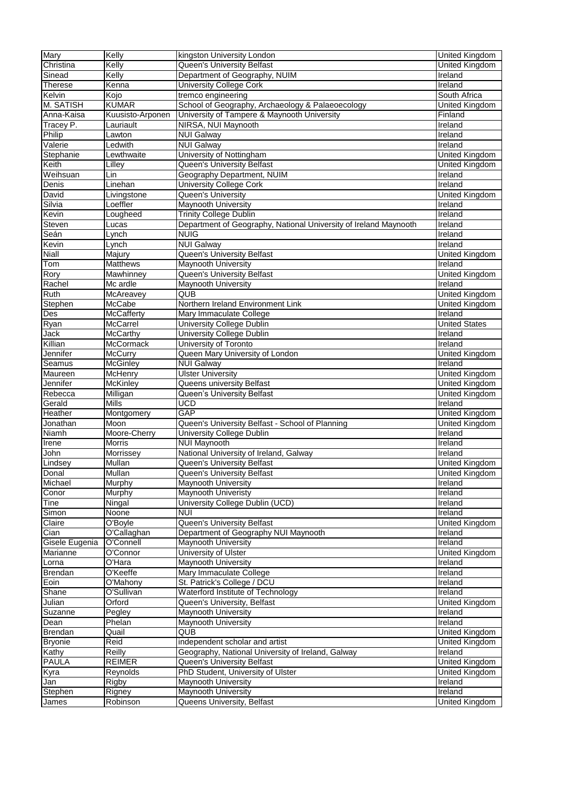| Mary                   | Kelly                    | kingston University London                                       | United Kingdom                   |
|------------------------|--------------------------|------------------------------------------------------------------|----------------------------------|
| Christina              | Kelly                    | Queen's University Belfast                                       | United Kingdom                   |
| Sinead                 | Kelly                    | Department of Geography, NUIM                                    | Ireland                          |
| <b>Therese</b>         | Kenna                    | <b>University College Cork</b>                                   | Ireland                          |
| Kelvin                 | Kojo                     | tremco engineering                                               | South Africa                     |
| M. SATISH              | <b>KUMAR</b>             | School of Geography, Archaeology & Palaeoecology                 | United Kingdom                   |
| Anna-Kaisa             | Kuusisto-Arponen         | University of Tampere & Maynooth University                      | Finland                          |
| Tracey P.              | Lauriault                | NIRSA, NUI Maynooth                                              | <b>Treland</b>                   |
| Philip                 | Lawton                   | <b>NUI Galway</b>                                                | <b>Ireland</b>                   |
| Valerie                | Ledwith                  | <b>NUI Galway</b>                                                | Ireland                          |
| Stephanie              | Lewthwaite               | University of Nottingham                                         | <b>United Kingdom</b>            |
| Keith                  | Lilley                   | Queen's University Belfast                                       | United Kingdom                   |
| Weihsuan               | Lin                      | Geography Department, NUIM                                       | Ireland                          |
|                        |                          |                                                                  |                                  |
| Denis                  | Linehan                  | <b>University College Cork</b>                                   | Ireland                          |
| David                  | Livingstone              | Queen's University                                               | <b>United Kingdom</b>            |
| Silvia                 | Loeffler                 | <b>Maynooth University</b>                                       | Ireland                          |
| Kevin                  | Lougheed                 | <b>Trinity College Dublin</b>                                    | Ireland                          |
| Steven                 | Lucas                    | Department of Geography, National University of Ireland Maynooth | <b>Ireland</b>                   |
| Seán                   | Lynch                    | <b>NUIG</b>                                                      | <b>Treland</b>                   |
| Kevin                  | Lynch                    | <b>NUI Galway</b>                                                | Ireland                          |
| Niall                  | Majury                   | Queen's University Belfast                                       | United Kingdom                   |
| Tom                    | <b>Matthews</b>          | Maynooth University                                              | Ireland                          |
| Rory                   | Mawhinney                | <b>Queen's University Belfast</b>                                | United Kingdom                   |
| Rachel                 | Mc ardle                 | Maynooth University                                              | Ireland                          |
| Ruth                   | McAreavey                | QUB                                                              | United Kingdom                   |
| Stephen                | <b>McCabe</b>            | Northern Ireland Environment Link                                | United Kingdom                   |
| Des                    | McCafferty               | Mary Immaculate College                                          | Ireland                          |
| Ryan                   | McCarrel                 | <b>University College Dublin</b>                                 | <b>United States</b>             |
| Jack                   | <b>McCarthy</b>          | <b>University College Dublin</b>                                 | Ireland                          |
| Killian                | McCormack                | University of Toronto                                            | <b>Ireland</b>                   |
| Jennifer               | McCurry                  | Queen Mary University of London                                  | <b>United Kingdom</b>            |
| Seamus                 | <b>McGinley</b>          | <b>NUI Galway</b>                                                | Ireland                          |
|                        |                          | <b>Ulster University</b>                                         |                                  |
| Maureen                | McHenry                  |                                                                  | United Kingdom                   |
|                        |                          |                                                                  |                                  |
| Jennifer               | <b>McKinley</b>          | Queens university Belfast                                        | United Kingdom                   |
| Rebecca                | Milligan                 | Queen's University Belfast                                       | <b>United Kingdom</b>            |
| Gerald                 | <b>Mills</b>             | <b>UCD</b>                                                       | Ireland                          |
| Heather                | Montgomery               | GAP                                                              | <b>United Kingdom</b>            |
| Jonathan               | Moon                     | Queen's University Belfast - School of Planning                  | United Kingdom                   |
| <b>Niamh</b>           | Moore-Cherry             | University College Dublin                                        | <b>Ireland</b>                   |
| Irene                  | <b>Morris</b>            | <b>NUI Maynooth</b>                                              | Treland                          |
| John                   | Morrissey                | National University of Ireland, Galway                           | Ireland                          |
| Lindsey                | <b>Mullan</b>            | Queen's University Belfast                                       | United Kingdom                   |
| Donal                  | <b>Mullan</b>            | Queen's University Belfast                                       | United Kingdom                   |
| Michael                | Murphy                   | <b>Maynooth University</b>                                       | Ireland                          |
| Conor                  | Murphy                   | <b>Maynooth Univeristy</b>                                       | Ireland                          |
| Tine                   | Ningal                   | University College Dublin (UCD)                                  | Ireland                          |
|                        | Noone                    | <b>NUI</b>                                                       | Ireland                          |
| Simon<br>Claire        | O'Boyle                  | <b>Queen's University Belfast</b>                                |                                  |
|                        |                          |                                                                  | <b>United Kingdom</b><br>Ireland |
| Cian<br>Gisele Eugenia | O'Callaghan<br>O'Connell | Department of Geography NUI Maynooth                             | Ireland                          |
|                        |                          | Maynooth University                                              |                                  |
| Marianne               | O'Connor                 | University of Ulster                                             | United Kingdom                   |
| Lorna                  | O'Hara                   | <b>Maynooth University</b>                                       | Ireland                          |
| <b>Brendan</b>         | O'Keeffe                 | Mary Immaculate College                                          | Ireland                          |
| Eoin                   | O'Mahony                 | St. Patrick's College / DCU                                      | Ireland                          |
| Shane                  | O'Sullivan               | Waterford Institute of Technology                                | Ireland                          |
| Julian                 | Orford                   | Queen's University, Belfast                                      | <b>United Kingdom</b>            |
| Suzanne                | Pegley                   | Maynooth University                                              | <b>Treland</b>                   |
| Dean                   | Phelan                   | Maynooth University                                              | Ireland                          |
| Brendan                | Quail                    | <b>QUB</b>                                                       | United Kingdom                   |
| <b>Bryonie</b>         | Reid                     | independent scholar and artist                                   | <b>United Kingdom</b>            |
| Kathy                  | Reilly                   | Geography, National University of Ireland, Galway                | Ireland                          |
| PAULA                  | <b>REIMER</b>            | Queen's University Belfast                                       | <b>United Kingdom</b>            |
| <u>Kyra</u>            | Reynolds                 | PhD Student, University of Ulster                                | United Kingdom                   |
| Jan                    | Rigby                    | Maynooth University                                              | Ireland                          |
| Stephen<br>James       | Rigney<br>Robinson       | Maynooth University<br>Queens University, Belfast                | Ireland<br>United Kingdom        |